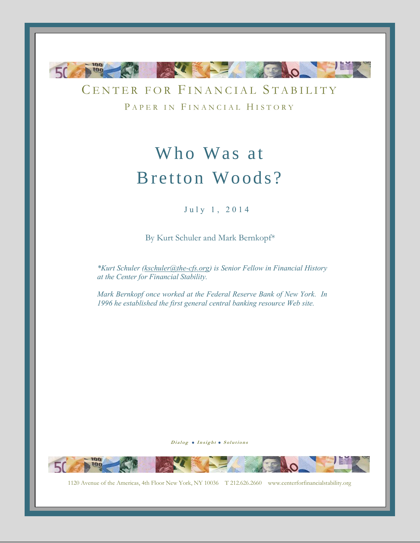

CENTER FOR FINANCIAL STABILITY PAPER IN FINANCIAL HISTORY

# Who Was at Bretton Woods?

July 1, 2014

By Kurt Schuler and Mark Bernkopf\*

*\*Kurt Schuler [\(kschuler@the-cfs.org\)](mailto:kschuler@the-cfs.org) is Senior Fellow in Financial History at the Center for Financial Stability.*

*Mark Bernkopf once worked at the Federal Reserve Bank of New York. In 1996 he established the first general central banking resource Web site.*

Dialog . Insight . Solutions



1120 Avenue of the Americas, 4th Floor New York, NY 10036 T 212.626.2660 www.centerforfinancialstability.org

-0-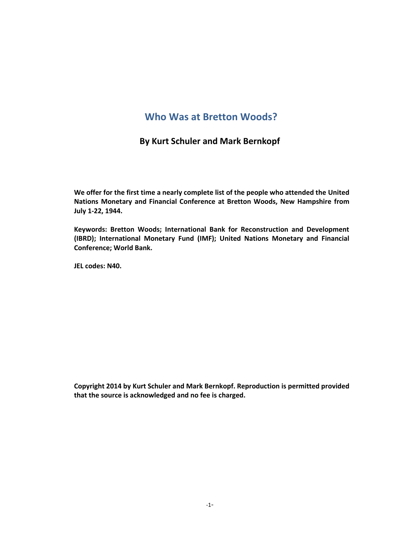# **Who Was at Bretton Woods?**

# **By Kurt Schuler and Mark Bernkopf**

**We offer for the first time a nearly complete list of the people who attended the United Nations Monetary and Financial Conference at Bretton Woods, New Hampshire from July 1-22, 1944.**

**Keywords: Bretton Woods; International Bank for Reconstruction and Development (IBRD); International Monetary Fund (IMF); United Nations Monetary and Financial Conference; World Bank.**

**JEL codes: N40.**

**Copyright 2014 by Kurt Schuler and Mark Bernkopf. Reproduction is permitted provided that the source is acknowledged and no fee is charged.**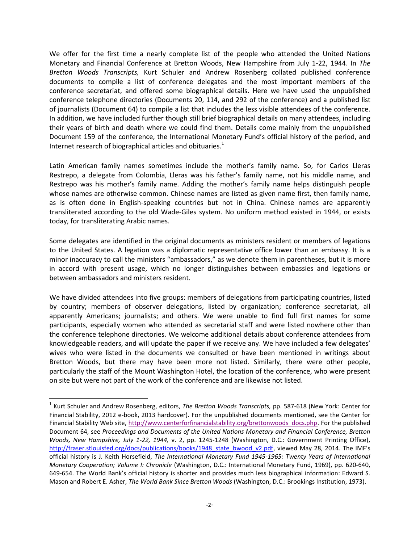We offer for the first time a nearly complete list of the people who attended the United Nations Monetary and Financial Conference at Bretton Woods, New Hampshire from July 1-22, 1944. In *The Bretton Woods Transcripts,* Kurt Schuler and Andrew Rosenberg collated published conference documents to compile a list of conference delegates and the most important members of the conference secretariat, and offered some biographical details. Here we have used the unpublished conference telephone directories (Documents 20, 114, and 292 of the conference) and a published list of journalists (Document 64) to compile a list that includes the less visible attendees of the conference. In addition, we have included further though still brief biographical details on many attendees, including their years of birth and death where we could find them. Details come mainly from the unpublished Document 159 of the conference, the International Monetary Fund's official history of the period, and Internet research of biographical articles and obituaries. $1$ 

Latin American family names sometimes include the mother's family name. So, for Carlos Lleras Restrepo, a delegate from Colombia, Lleras was his father's family name, not his middle name, and Restrepo was his mother's family name. Adding the mother's family name helps distinguish people whose names are otherwise common. Chinese names are listed as given name first, then family name, as is often done in English-speaking countries but not in China. Chinese names are apparently transliterated according to the old Wade-Giles system. No uniform method existed in 1944, or exists today, for transliterating Arabic names.

Some delegates are identified in the original documents as ministers resident or members of legations to the United States. A legation was a diplomatic representative office lower than an embassy. It is a minor inaccuracy to call the ministers "ambassadors," as we denote them in parentheses, but it is more in accord with present usage, which no longer distinguishes between embassies and legations or between ambassadors and ministers resident.

We have divided attendees into five groups: members of delegations from participating countries, listed by country; members of observer delegations, listed by organization; conference secretariat, all apparently Americans; journalists; and others. We were unable to find full first names for some participants, especially women who attended as secretarial staff and were listed nowhere other than the conference telephone directories. We welcome additional details about conference attendees from knowledgeable readers, and will update the paper if we receive any. We have included a few delegates' wives who were listed in the documents we consulted or have been mentioned in writings about Bretton Woods, but there may have been more not listed. Similarly, there were other people, particularly the staff of the Mount Washington Hotel, the location of the conference, who were present on site but were not part of the work of the conference and are likewise not listed.

 $\overline{a}$ 

<sup>1</sup> Kurt Schuler and Andrew Rosenberg, editors, *The Bretton Woods Transcripts,* pp. 587-618 (New York: Center for Financial Stability, 2012 e-book, 2013 hardcover). For the unpublished documents mentioned, see the Center for Financial Stability Web site, [http://www.centerforfinancialstability.org/brettonwoods\\_docs.php.](http://www.centerforfinancialstability.org/brettonwoods_docs.php) For the published Document 64, see *Proceedings and Documents of the United Nations Monetary and Financial Conference, Bretton Woods, New Hampshire, July 1-22, 1944,* v. 2, pp. 1245-1248 (Washington, D.C.: Government Printing Office), [http://fraser.stlouisfed.org/docs/publications/books/1948\\_state\\_bwood\\_v2.pdf,](http://fraser.stlouisfed.org/docs/publications/books/1948_state_bwood_v2.pdf) viewed May 28, 2014. The IMF's official history is J. Keith Horsefield, *The International Monetary Fund 1945-1965: Twenty Years of International Monetary Cooperation; Volume I: Chronicle* (Washington, D.C.: International Monetary Fund, 1969), pp. 620-640, 649-654. The World Bank's official history is shorter and provides much less biographical information: Edward S. Mason and Robert E. Asher, *The World Bank Since Bretton Woods* (Washington, D.C.: Brookings Institution, 1973).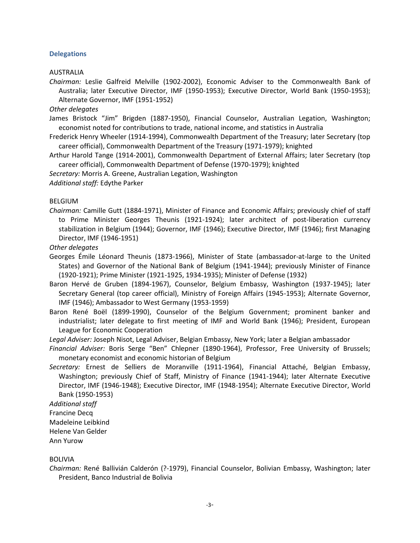#### **Delegations**

AUSTRALIA

*Chairman:* Leslie Galfreid Melville (1902-2002), Economic Adviser to the Commonwealth Bank of Australia; later Executive Director, IMF (1950-1953); Executive Director, World Bank (1950-1953); Alternate Governor, IMF (1951-1952)

*Other delegates*

James Bristock "Jim" Brigden (1887-1950), Financial Counselor, Australian Legation, Washington; economist noted for contributions to trade, national income, and statistics in Australia

Frederick Henry Wheeler (1914-1994), Commonwealth Department of the Treasury; later Secretary (top career official), Commonwealth Department of the Treasury (1971-1979); knighted

Arthur Harold Tange (1914-2001), Commonwealth Department of External Affairs; later Secretary (top career official), Commonwealth Department of Defense (1970-1979); knighted

*Secretary:* Morris A. Greene, Australian Legation, Washington

*Additional staff:* Edythe Parker

BELGIUM

*Chairman:* Camille Gutt (1884-1971), Minister of Finance and Economic Affairs; previously chief of staff to Prime Minister Georges Theunis (1921-1924); later architect of post-liberation currency stabilization in Belgium (1944); Governor, IMF (1946); Executive Director, IMF (1946); first Managing Director, IMF (1946-1951)

#### *Other delegates*

Georges Émile Léonard Theunis (1873-1966), Minister of State (ambassador-at-large to the United States) and Governor of the National Bank of Belgium (1941-1944); previously Minister of Finance (1920-1921); Prime Minister (1921-1925, 1934-1935); Minister of Defense (1932)

- Baron Hervé de Gruben (1894-1967), Counselor, Belgium Embassy, Washington (1937-1945); later Secretary General (top career official), Ministry of Foreign Affairs (1945-1953); Alternate Governor, IMF (1946); Ambassador to West Germany (1953-1959)
- Baron René Boël (1899-1990), Counselor of the Belgium Government; prominent banker and industrialist; later delegate to first meeting of IMF and World Bank (1946); President, European League for Economic Cooperation

*Legal Adviser:* Joseph Nisot, Legal Adviser, Belgian Embassy, New York; later a Belgian ambassador

*Financial Adviser:* Boris Serge "Ben" Chlepner (1890-1964), Professor, Free University of Brussels; monetary economist and economic historian of Belgium

*Secretary:* Ernest de Selliers de Moranville (1911-1964), Financial Attaché, Belgian Embassy, Washington; previously Chief of Staff, Ministry of Finance (1941-1944); later Alternate Executive Director, IMF (1946-1948); Executive Director, IMF (1948-1954); Alternate Executive Director, World Bank (1950-1953)

*Additional staff*

Francine Decq

Madeleine Leibkind

Helene Van Gelder

Ann Yurow

# BOLIVIA

*Chairman:* René Ballivián Calderón (?-1979), Financial Counselor, Bolivian Embassy, Washington; later President, Banco Industrial de Bolivia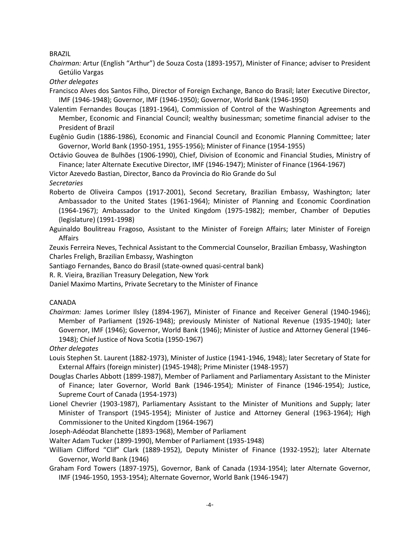BRAZIL

*Chairman:* Artur (English "Arthur") de Souza Costa (1893-1957), Minister of Finance; adviser to President Getúlio Vargas

*Other delegates*

Francisco Alves dos Santos Filho, Director of Foreign Exchange, Banco do Brasil; later Executive Director, IMF (1946-1948); Governor, IMF (1946-1950); Governor, World Bank (1946-1950)

Valentim Fernandes Bouças (1891-1964), Commission of Control of the Washington Agreements and Member, Economic and Financial Council; wealthy businessman; sometime financial adviser to the President of Brazil

Eugênio Gudin (1886-1986), Economic and Financial Council and Economic Planning Committee; later Governor, World Bank (1950-1951, 1955-1956); Minister of Finance (1954-1955)

Octávio Gouvea de Bulhões (1906-1990), Chief, Division of Economic and Financial Studies, Ministry of Finance; later Alternate Executive Director, IMF (1946-1947); Minister of Finance (1964-1967)

Victor Azevedo Bastian, Director, Banco da Provincia do Rio Grande do Sul

*Secretaries*

Roberto de Oliveira Campos (1917-2001), Second Secretary, Brazilian Embassy, Washington; later Ambassador to the United States (1961-1964); Minister of Planning and Economic Coordination (1964-1967); Ambassador to the United Kingdom (1975-1982); member, Chamber of Deputies (legislature) (1991-1998)

Aguinaldo Boulitreau Fragoso, Assistant to the Minister of Foreign Affairs; later Minister of Foreign Affairs

Zeuxis Ferreira Neves, Technical Assistant to the Commercial Counselor, Brazilian Embassy, Washington Charles Freligh, Brazilian Embassy, Washington

Santiago Fernandes, Banco do Brasil (state-owned quasi-central bank)

R. R. Vieira, Brazilian Treasury Delegation, New York

Daniel Maximo Martins, Private Secretary to the Minister of Finance

# CANADA

*Chairman:* James Lorimer Ilsley (1894-1967), Minister of Finance and Receiver General (1940-1946); Member of Parliament (1926-1948); previously Minister of National Revenue (1935-1940); later Governor, IMF (1946); Governor, World Bank (1946); Minister of Justice and Attorney General (1946- 1948); Chief Justice of Nova Scotia (1950-1967)

*Other delegates*

Louis Stephen St. Laurent (1882-1973), Minister of Justice (1941-1946, 1948); later Secretary of State for External Affairs (foreign minister) (1945-1948); Prime Minister (1948-1957)

- Douglas Charles Abbott (1899-1987), Member of Parliament and Parliamentary Assistant to the Minister of Finance; later Governor, World Bank (1946-1954); Minister of Finance (1946-1954); Justice, Supreme Court of Canada (1954-1973)
- Lionel Chevrier (1903-1987), Parliamentary Assistant to the Minister of Munitions and Supply; later Minister of Transport (1945-1954); Minister of Justice and Attorney General (1963-1964); High Commissioner to the United Kingdom (1964-1967)

Joseph-Adéodat Blanchette (1893-1968), Member of Parliament

Walter Adam Tucker (1899-1990), Member of Parliament (1935-1948)

William Clifford "Clif" Clark (1889-1952), Deputy Minister of Finance (1932-1952); later Alternate Governor, World Bank (1946)

Graham Ford Towers (1897-1975), Governor, Bank of Canada (1934-1954); later Alternate Governor, IMF (1946-1950, 1953-1954); Alternate Governor, World Bank (1946-1947)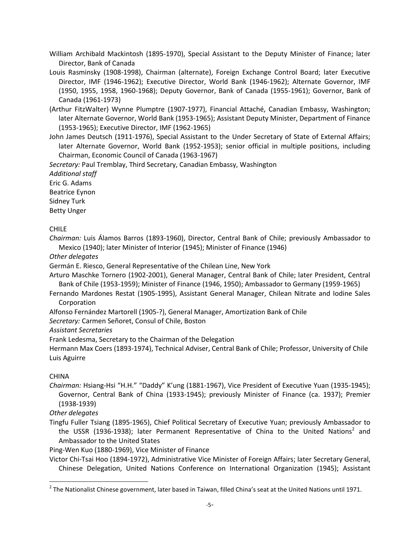William Archibald Mackintosh (1895-1970), Special Assistant to the Deputy Minister of Finance; later Director, Bank of Canada

- Louis Rasminsky (1908-1998), Chairman (alternate), Foreign Exchange Control Board; later Executive Director, IMF (1946-1962); Executive Director, World Bank (1946-1962); Alternate Governor, IMF (1950, 1955, 1958, 1960-1968); Deputy Governor, Bank of Canada (1955-1961); Governor, Bank of Canada (1961-1973)
- (Arthur FitzWalter) Wynne Plumptre (1907-1977), Financial Attaché, Canadian Embassy, Washington; later Alternate Governor, World Bank (1953-1965); Assistant Deputy Minister, Department of Finance (1953-1965); Executive Director, IMF (1962-1965)
- John James Deutsch (1911-1976), Special Assistant to the Under Secretary of State of External Affairs; later Alternate Governor, World Bank (1952-1953); senior official in multiple positions, including Chairman, Economic Council of Canada (1963-1967)

*Secretary:* Paul Tremblay, Third Secretary, Canadian Embassy, Washington

*Additional staff* Eric G. Adams

Beatrice Eynon Sidney Turk

Betty Unger

# CHILE

*Chairman:* Luis Álamos Barros (1893-1960), Director, Central Bank of Chile; previously Ambassador to Mexico (1940); later Minister of Interior (1945); Minister of Finance (1946)

*Other delegates*

Germán E. Riesco, General Representative of the Chilean Line, New York

Arturo Maschke Tornero (1902-2001), General Manager, Central Bank of Chile; later President, Central Bank of Chile (1953-1959); Minister of Finance (1946, 1950); Ambassador to Germany (1959-1965)

Fernando Mardones Restat (1905-1995), Assistant General Manager, Chilean Nitrate and Iodine Sales Corporation

Alfonso Fernández Martorell (1905-?), General Manager, Amortization Bank of Chile

*Secretary:* Carmen Señoret, Consul of Chile, Boston

*Assistant Secretaries*

Frank Ledesma, Secretary to the Chairman of the Delegation

Hermann Max Coers (1893-1974), Technical Adviser, Central Bank of Chile; Professor, University of Chile Luis Aguirre

# CHINA

 $\overline{\phantom{a}}$ 

*Chairman:* Hsiang-Hsi "H.H." "Daddy" K'ung (1881-1967), Vice President of Executive Yuan (1935-1945); Governor, Central Bank of China (1933-1945); previously Minister of Finance (ca. 1937); Premier (1938-1939)

*Other delegates*

Tingfu Fuller Tsiang (1895-1965), Chief Political Secretary of Executive Yuan; previously Ambassador to the USSR (1936-1938); later Permanent Representative of China to the United Nations<sup>2</sup> and Ambassador to the United States

Ping-Wen Kuo (1880-1969), Vice Minister of Finance

Victor Chi-Tsai Hoo (1894-1972), Administrative Vice Minister of Foreign Affairs; later Secretary General, Chinese Delegation, United Nations Conference on International Organization (1945); Assistant

 $^2$  The Nationalist Chinese government, later based in Taiwan, filled China's seat at the United Nations until 1971.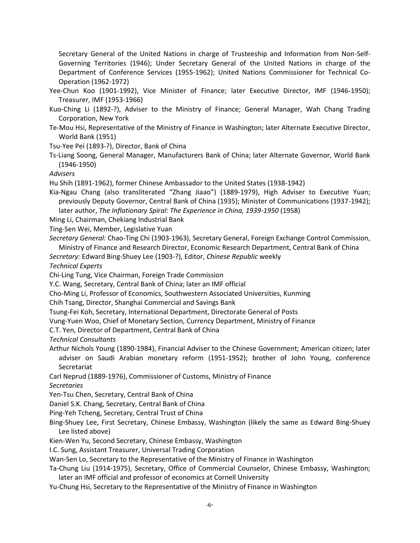Secretary General of the United Nations in charge of Trusteeship and Information from Non-Self-Governing Territories (1946); Under Secretary General of the United Nations in charge of the Department of Conference Services (1955-1962); United Nations Commissioner for Technical Co-Operation (1962-1972)

- Yee-Chun Koo (1901-1992), Vice Minister of Finance; later Executive Director, IMF (1946-1950); Treasurer, IMF (1953-1966)
- Kuo-Ching Li (1892-?), Adviser to the Ministry of Finance; General Manager, Wah Chang Trading Corporation, New York
- Te-Mou Hsi, Representative of the Ministry of Finance in Washington; later Alternate Executive Director, World Bank (1951)

Tsu-Yee Pei (1893-?), Director, Bank of China

Ts-Liang Soong, General Manager, Manufacturers Bank of China; later Alternate Governor, World Bank (1946-1950)

*Advisers*

Hu Shih (1891-1962), former Chinese Ambassador to the United States (1938-1942)

Kia-Ngau Chang (also transliterated "Zhang Jiaao") (1889-1979), High Adviser to Executive Yuan; previously Deputy Governor, Central Bank of China (1935); Minister of Communications (1937-1942); later author, *The Inflationary Spiral: The Experience in China, 1939-1950* (1958)

- Ming Li, Chairman, Chekiang Industrial Bank
- Ting-Sen Wei, Member, Legislative Yuan
- *Secretary General:* Chao-Ting Chi (1903-1963), Secretary General, Foreign Exchange Control Commission, Ministry of Finance and Research Director, Economic Research Department, Central Bank of China

*Secretary:* Edward Bing-Shuey Lee (1903-?), Editor, *Chinese Republic* weekly

*Technical Experts*

Chi-Ling Tung, Vice Chairman, Foreign Trade Commission

Y.C. Wang, Secretary, Central Bank of China; later an IMF official

Cho-Ming Li, Professor of Economics, Southwestern Associated Universities, Kunming

Chih Tsang, Director, Shanghai Commercial and Savings Bank

Tsung-Fei Koh, Secretary, International Department, Directorate General of Posts

Vung-Yuen Woo, Chief of Monetary Section, Currency Department, Ministry of Finance

C.T. Yen, Director of Department, Central Bank of China

*Technical Consultants*

- Arthur Nichols Young (1890-1984), Financial Adviser to the Chinese Government; American citizen; later adviser on Saudi Arabian monetary reform (1951-1952); brother of John Young, conference Secretariat
- Carl Neprud (1889-1976), Commissioner of Customs, Ministry of Finance

*Secretaries*

Yen-Tsu Chen, Secretary, Central Bank of China

Daniel S.K. Chang, Secretary, Central Bank of China

Ping-Yeh Tcheng, Secretary, Central Trust of China

Bing-Shuey Lee, First Secretary, Chinese Embassy, Washington (likely the same as Edward Bing-Shuey Lee listed above)

Kien-Wen Yu, Second Secretary, Chinese Embassy, Washington

I.C. Sung, Assistant Treasurer, Universal Trading Corporation

Wan-Sen Lo, Secretary to the Representative of the Ministry of Finance in Washington

- Ta-Chung Liu (1914-1975), Secretary, Office of Commercial Counselor, Chinese Embassy, Washington; later an IMF official and professor of economics at Cornell University
- Yu-Chung Hsi, Secretary to the Representative of the Ministry of Finance in Washington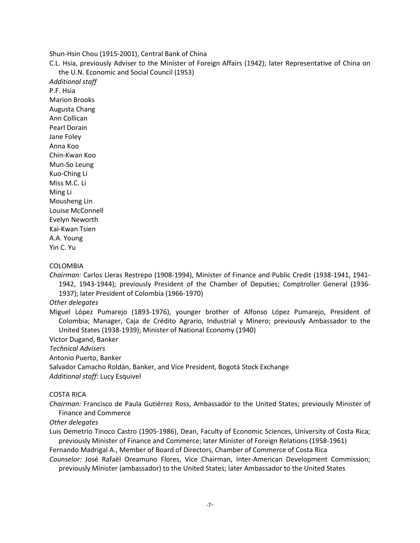Shun-Hsin Chou (1915-2001), Central Bank of China

C.L. Hsia, previously Adviser to the Minister of Foreign Affairs (1942); later Representative of China on the U.N. Economic and Social Council (1953)

*Additional staff* P.F. Hsia Marion Brooks Augusta Chang Ann Collican Pearl Dorain Jane Foley Anna Koo Chin-Kwan Koo Mun-So Leung Kuo-Ching Li Miss M.C. Li Ming Li Mousheng Lin Louise McConnell Evelyn Neworth Kai-Kwan Tsien A.A. Young Yin C. Yu

#### COLOMBIA

*Chairman:* Carlos Lleras Restrepo (1908-1994), Minister of Finance and Public Credit (1938-1941, 1941- 1942, 1943-1944); previously President of the Chamber of Deputies; Comptroller General (1936- 1937); later President of Colombia (1966-1970)

*Other delegates*

Miguel López Pumarejo (1893-1976), younger brother of Alfonso López Pumarejo, President of Colombia; Manager, Caja de Crédito Agrario, Industrial y Minero; previously Ambassador to the United States (1938-1939); Minister of National Economy (1940)

Victor Dugand, Banker

*Technical Advisers*

Antonio Puerto, Banker

Salvador Camacho Roldán, Banker, and Vice President, Bogotá Stock Exchange

*Additional staff:* Lucy Esquivel

#### COSTA RICA

*Chairman:* Francisco de Paula Gutiérrez Ross, Ambassador to the United States; previously Minister of Finance and Commerce

### *Other delegates*

Luis Demetrio Tinoco Castro (1905-1986), Dean, Faculty of Economic Sciences, University of Costa Rica; previously Minister of Finance and Commerce; later Minister of Foreign Relations (1958-1961)

Fernando Madrigal A., Member of Board of Directors, Chamber of Commerce of Costa Rica

*Counselor:* José Rafaël Oreamuno Flores, Vice Chairman, Inter-American Development Commission; previously Minister (ambassador) to the United States; later Ambassador to the United States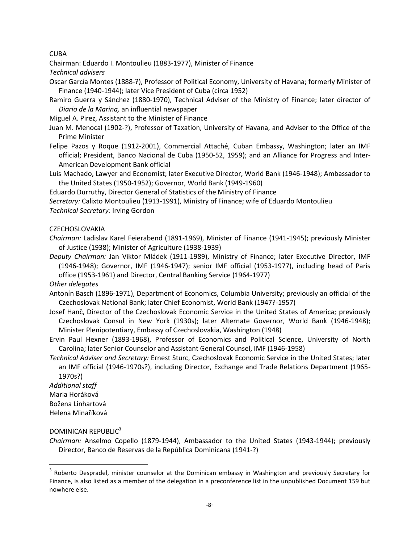CUBA

Chairman: Eduardo I. Montoulieu (1883-1977), Minister of Finance

*Technical advisers*

- Oscar García Montes (1888-?), Professor of Political Economy, University of Havana; formerly Minister of Finance (1940-1944); later Vice President of Cuba (circa 1952)
- Ramiro Guerra y Sánchez (1880-1970), Technical Adviser of the Ministry of Finance; later director of *Diario de la Marina,* an influential newspaper

Miguel A. Pirez, Assistant to the Minister of Finance

- Juan M. Menocal (1902-?), Professor of Taxation, University of Havana, and Adviser to the Office of the Prime Minister
- Felipe Pazos y Roque (1912-2001), Commercial Attaché, Cuban Embassy, Washington; later an IMF official; President, Banco Nacional de Cuba (1950-52, 1959); and an Alliance for Progress and Inter-American Development Bank official
- Luis Machado, Lawyer and Economist; later Executive Director, World Bank (1946-1948); Ambassador to the United States (1950-1952); Governor, World Bank (1949-1960)

Eduardo Durruthy, Director General of Statistics of the Ministry of Finance

*Secretary:* Calixto Montoulieu (1913-1991), Ministry of Finance; wife of Eduardo Montoulieu

*Technical Secretary:* Irving Gordon

# **CZECHOSLOVAKIA**

- *Chairman:* Ladislav Karel Feierabend (1891-1969), Minister of Finance (1941-1945); previously Minister of Justice (1938); Minister of Agriculture (1938-1939)
- *Deputy Chairman:* Jan Viktor Mládek (1911-1989), Ministry of Finance; later Executive Director, IMF (1946-1948); Governor, IMF (1946-1947); senior IMF official (1953-1977), including head of Paris office (1953-1961) and Director, Central Banking Service (1964-1977)

*Other delegates*

- Antonín Basch (1896-1971), Department of Economics, Columbia University; previously an official of the Czechoslovak National Bank; later Chief Economist, World Bank (1947?-1957)
- Josef Hanč, Director of the Czechoslovak Economic Service in the United States of America; previously Czechoslovak Consul in New York (1930s); later Alternate Governor, World Bank (1946-1948); Minister Plenipotentiary, Embassy of Czechoslovakia, Washington (1948)
- Ervin Paul Hexner (1893-1968), Professor of Economics and Political Science, University of North Carolina; later Senior Counselor and Assistant General Counsel, IMF (1946-1958)
- *Technical Adviser and Secretary:* Ernest Sturc, Czechoslovak Economic Service in the United States; later an IMF official (1946-1970s?), including Director, Exchange and Trade Relations Department (1965- 1970s?)

*Additional staff* Maria Horáková Božena Linhartová Helena Minaříková

 $\overline{\phantom{a}}$ 

# DOMINICAN REPUBLIC<sup>3</sup>

*Chairman:* Anselmo Copello (1879-1944), Ambassador to the United States (1943-1944); previously Director, Banco de Reservas de la República Dominicana (1941-?)

<sup>&</sup>lt;sup>3</sup> Roberto Despradel, minister counselor at the Dominican embassy in Washington and previously Secretary for Finance, is also listed as a member of the delegation in a preconference list in the unpublished Document 159 but nowhere else.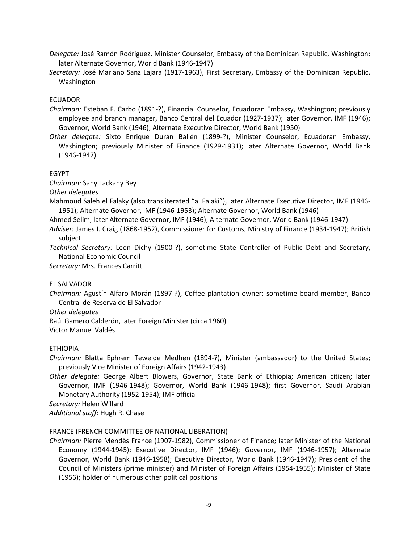- *Delegate:* José Ramón Rodriguez, Minister Counselor, Embassy of the Dominican Republic, Washington; later Alternate Governor, World Bank (1946-1947)
- *Secretary:* José Mariano Sanz Lajara (1917-1963), First Secretary, Embassy of the Dominican Republic, Washington

# ECUADOR

- *Chairman:* Esteban F. Carbo (1891-?), Financial Counselor, Ecuadoran Embassy, Washington; previously employee and branch manager, Banco Central del Ecuador (1927-1937); later Governor, IMF (1946); Governor, World Bank (1946); Alternate Executive Director, World Bank (1950)
- *Other delegate:* Sixto Enrique Durán Ballén (1899-?), Minister Counselor, Ecuadoran Embassy, Washington; previously Minister of Finance (1929-1931); later Alternate Governor, World Bank (1946-1947)

# EGYPT

*Chairman:* Sany Lackany Bey

*Other delegates*

Mahmoud Saleh el Falaky (also transliterated "al Falaki"), later Alternate Executive Director, IMF (1946- 1951); Alternate Governor, IMF (1946-1953); Alternate Governor, World Bank (1946)

- Ahmed Selim, later Alternate Governor, IMF (1946); Alternate Governor, World Bank (1946-1947)
- *Adviser:* James I. Craig (1868-1952), Commissioner for Customs, Ministry of Finance (1934-1947); British subject

*Technical Secretary:* Leon Dichy (1900-?), sometime State Controller of Public Debt and Secretary, National Economic Council

*Secretary:* Mrs. Frances Carritt

# EL SALVADOR

*Chairman:* Agustín Alfaro Morán (1897-?), Coffee plantation owner; sometime board member, Banco Central de Reserva de El Salvador

*Other delegates*

Raúl Gamero Calderón, later Foreign Minister (circa 1960)

Víctor Manuel Valdés

# ETHIOPIA

*Chairman:* Blatta Ephrem Tewelde Medhen (1894-?), Minister (ambassador) to the United States; previously Vice Minister of Foreign Affairs (1942-1943)

*Other delegate:* George Albert Blowers, Governor, State Bank of Ethiopia; American citizen; later Governor, IMF (1946-1948); Governor, World Bank (1946-1948); first Governor, Saudi Arabian Monetary Authority (1952-1954); IMF official

*Secretary:* Helen Willard

*Additional staff:* Hugh R. Chase

# FRANCE (FRENCH COMMITTEE OF NATIONAL LIBERATION)

*Chairman:* Pierre Mendès France (1907-1982), Commissioner of Finance; later Minister of the National Economy (1944-1945); Executive Director, IMF (1946); Governor, IMF (1946-1957); Alternate Governor, World Bank (1946-1958); Executive Director, World Bank (1946-1947); President of the Council of Ministers (prime minister) and Minister of Foreign Affairs (1954-1955); Minister of State (1956); holder of numerous other political positions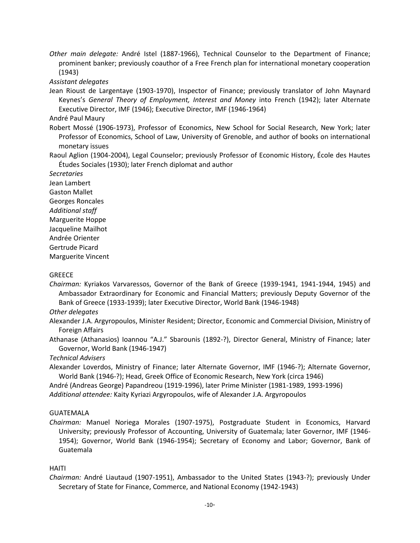*Other main delegate:* André Istel (1887-1966), Technical Counselor to the Department of Finance; prominent banker; previously coauthor of a Free French plan for international monetary cooperation (1943)

*Assistant delegates*

Jean Rioust de Largentaye (1903-1970), Inspector of Finance; previously translator of John Maynard Keynes's *General Theory of Employment, Interest and Money* into French (1942); later Alternate Executive Director, IMF (1946); Executive Director, IMF (1946-1964)

André Paul Maury

Robert Mossé (1906-1973), Professor of Economics, New School for Social Research, New York; later Professor of Economics, School of Law, University of Grenoble, and author of books on international monetary issues

Raoul Aglion (1904-2004), Legal Counselor; previously Professor of Economic History, École des Hautes Études Sociales (1930); later French diplomat and author

*Secretaries* Jean Lambert Gaston Mallet Georges Roncales *Additional staff* Marguerite Hoppe Jacqueline Mailhot Andrée Orienter Gertrude Picard Marguerite Vincent

## GREECE

*Chairman:* Kyriakos Varvaressos, Governor of the Bank of Greece (1939-1941, 1941-1944, 1945) and Ambassador Extraordinary for Economic and Financial Matters; previously Deputy Governor of the Bank of Greece (1933-1939); later Executive Director, World Bank (1946-1948)

# *Other delegates*

Alexander J.A. Argyropoulos, Minister Resident; Director, Economic and Commercial Division, Ministry of Foreign Affairs

Athanase (Athanasios) Ioannou "A.J." Sbarounis (1892-?), Director General, Ministry of Finance; later Governor, World Bank (1946-1947)

*Technical Advisers*

Alexander Loverdos, Ministry of Finance; later Alternate Governor, IMF (1946-?); Alternate Governor, World Bank (1946-?); Head, Greek Office of Economic Research, New York (circa 1946)

André (Andreas George) Papandreou (1919-1996), later Prime Minister (1981-1989, 1993-1996) *Additional attendee:* Kaity Kyriazi Argyropoulos, wife of Alexander J.A. Argyropoulos

#### GUATEMALA

*Chairman:* Manuel Noriega Morales (1907-1975), Postgraduate Student in Economics, Harvard University; previously Professor of Accounting, University of Guatemala; later Governor, IMF (1946- 1954); Governor, World Bank (1946-1954); Secretary of Economy and Labor; Governor, Bank of Guatemala

#### HAITI

*Chairman:* André Liautaud (1907-1951), Ambassador to the United States (1943-?); previously Under Secretary of State for Finance, Commerce, and National Economy (1942-1943)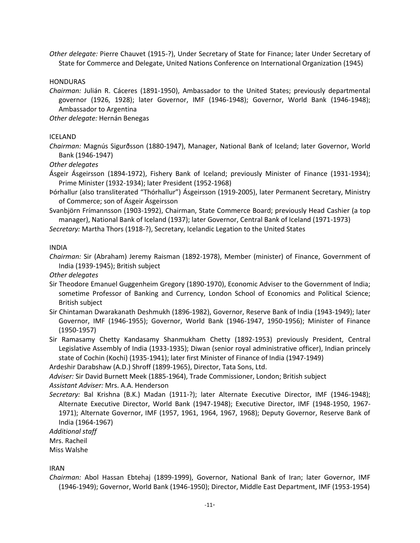*Other delegate:* Pierre Chauvet (1915-?), Under Secretary of State for Finance; later Under Secretary of State for Commerce and Delegate, United Nations Conference on International Organization (1945)

**HONDURAS** 

*Chairman:* Julián R. Cáceres (1891-1950), Ambassador to the United States; previously departmental governor (1926, 1928); later Governor, IMF (1946-1948); Governor, World Bank (1946-1948); Ambassador to Argentina

*Other delegate:* Hernán Benegas

# ICELAND

*Chairman:* Magnús Sigurðsson (1880-1947), Manager, National Bank of Iceland; later Governor, World Bank (1946-1947)

*Other delegates*

Ásgeir Ásgeirsson (1894-1972), Fishery Bank of Iceland; previously Minister of Finance (1931-1934); Prime Minister (1932-1934); later President (1952-1968)

- Þórhallur (also transliterated "Thórhallur") Ásgeirsson (1919-2005), later Permanent Secretary, Ministry of Commerce; son of Ásgeir Ásgeirsson
- Svanbjörn Frímannsson (1903-1992), Chairman, State Commerce Board; previously Head Cashier (a top manager), National Bank of Iceland (1937); later Governor, Central Bank of Iceland (1971-1973)

*Secretary:* Martha Thors (1918-?), Secretary, Icelandic Legation to the United States

INDIA

*Chairman:* Sir (Abraham) Jeremy Raisman (1892-1978), Member (minister) of Finance, Government of India (1939-1945); British subject

*Other delegates*

- Sir Theodore Emanuel Guggenheim Gregory (1890-1970), Economic Adviser to the Government of India; sometime Professor of Banking and Currency, London School of Economics and Political Science; British subject
- Sir Chintaman Dwarakanath Deshmukh (1896-1982), Governor, Reserve Bank of India (1943-1949); later Governor, IMF (1946-1955); Governor, World Bank (1946-1947, 1950-1956); Minister of Finance (1950-1957)
- Sir Ramasamy Chetty Kandasamy Shanmukham Chetty (1892-1953) previously President, Central Legislative Assembly of India (1933-1935); Diwan (senior royal administrative officer), Indian princely state of Cochin (Kochi) (1935-1941); later first Minister of Finance of India (1947-1949)

Ardeshir Darabshaw (A.D.) Shroff (1899-1965), Director, Tata Sons, Ltd.

*Adviser:* Sir David Burnett Meek (1885-1964), Trade Commissioner, London; British subject

*Assistant Adviser:* Mrs. A.A. Henderson

*Secretary:* Bal Krishna (B.K.) Madan (1911-?); later Alternate Executive Director, IMF (1946-1948); Alternate Executive Director, World Bank (1947-1948); Executive Director, IMF (1948-1950, 1967- 1971); Alternate Governor, IMF (1957, 1961, 1964, 1967, 1968); Deputy Governor, Reserve Bank of India (1964-1967)

*Additional staff*

Mrs. Racheil

Miss Walshe

IRAN

*Chairman:* Abol Hassan Ebtehaj (1899-1999), Governor, National Bank of Iran; later Governor, IMF (1946-1949); Governor, World Bank (1946-1950); Director, Middle East Department, IMF (1953-1954)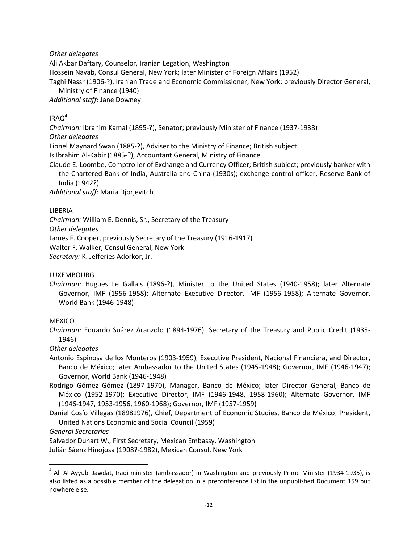*Other delegates*

Ali Akbar Daftary, Counselor, Iranian Legation, Washington

Hossein Navab, Consul General, New York; later Minister of Foreign Affairs (1952)

Taghi Nassr (1906-?), Iranian Trade and Economic Commissioner, New York; previously Director General, Ministry of Finance (1940)

*Additional staff:* Jane Downey

# $IRAO<sup>4</sup>$

*Chairman:* Ibrahim Kamal (1895-?), Senator; previously Minister of Finance (1937-1938)

# *Other delegates*

Lionel Maynard Swan (1885-?), Adviser to the Ministry of Finance; British subject

Is Ibrahim Al-Kabir (1885-?), Accountant General, Ministry of Finance

Claude E. Loombe, Comptroller of Exchange and Currency Officer; British subject; previously banker with the Chartered Bank of India, Australia and China (1930s); exchange control officer, Reserve Bank of India (1942?)

*Additional staff:* Maria Djorjevitch

# LIBERIA

*Chairman:* William E. Dennis, Sr., Secretary of the Treasury *Other delegates* James F. Cooper, previously Secretary of the Treasury (1916-1917) Walter F. Walker, Consul General, New York *Secretary:* K. Jefferies Adorkor, Jr.

# LUXEMBOURG

*Chairman:* Hugues Le Gallais (1896-?), Minister to the United States (1940-1958); later Alternate Governor, IMF (1956-1958); Alternate Executive Director, IMF (1956-1958); Alternate Governor, World Bank (1946-1948)

# MEXICO

*Chairman:* Eduardo Suárez Aranzolo (1894-1976), Secretary of the Treasury and Public Credit (1935- 1946)

# *Other delegates*

Antonio Espinosa de los Monteros (1903-1959), Executive President, Nacional Financiera, and Director, Banco de México; later Ambassador to the United States (1945-1948); Governor, IMF (1946-1947); Governor, World Bank (1946-1948)

Rodrigo Gómez Gómez (1897-1970), Manager, Banco de México; later Director General, Banco de México (1952-1970); Executive Director, IMF (1946-1948, 1958-1960); Alternate Governor, IMF (1946-1947, 1953-1956, 1960-1968); Governor, IMF (1957-1959)

Daniel Cosío Villegas (18981976), Chief, Department of Economic Studies, Banco de México; President, United Nations Economic and Social Council (1959)

*General Secretaries*

 $\overline{\phantom{a}}$ 

Salvador Duhart W., First Secretary, Mexican Embassy, Washington

Julián Sáenz Hinojosa (1908?-1982), Mexican Consul, New York

<sup>&</sup>lt;sup>4</sup> Ali Al-Ayyubi Jawdat, Iraqi minister (ambassador) in Washington and previously Prime Minister (1934-1935), is also listed as a possible member of the delegation in a preconference list in the unpublished Document 159 but nowhere else.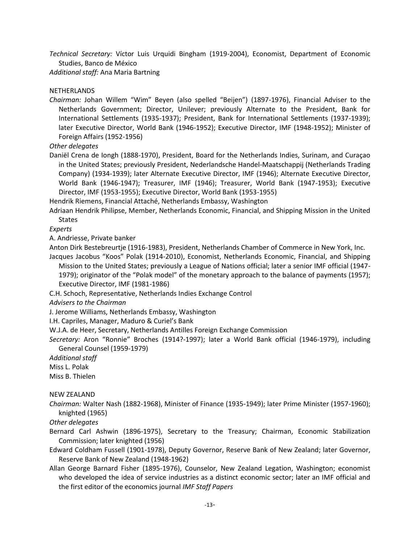*Technical Secretary:* Víctor Luis Urquidi Bingham (1919-2004), Economist, Department of Economic Studies, Banco de México

*Additional staff:* Ana Maria Bartning

# NETHERLANDS

*Chairman:* Johan Willem "Wim" Beyen (also spelled "Beijen") (1897-1976), Financial Adviser to the Netherlands Government; Director, Unilever; previously Alternate to the President, Bank for International Settlements (1935-1937); President, Bank for International Settlements (1937-1939); later Executive Director, World Bank (1946-1952); Executive Director, IMF (1948-1952); Minister of Foreign Affairs (1952-1956)

*Other delegates*

Daniël Crena de Iongh (1888-1970), President, Board for the Netherlands Indies, Surinam, and Curaçao in the United States; previously President, Nederlandsche Handel-Maatschappij (Netherlands Trading Company) (1934-1939); later Alternate Executive Director, IMF (1946); Alternate Executive Director, World Bank (1946-1947); Treasurer, IMF (1946); Treasurer, World Bank (1947-1953); Executive Director, IMF (1953-1955); Executive Director, World Bank (1953-1955)

Hendrik Riemens, Financial Attaché, Netherlands Embassy, Washington

Adriaan Hendrik Philipse, Member, Netherlands Economic, Financial, and Shipping Mission in the United States

*Experts*

A. Andriesse, Private banker

Anton Dirk Bestebreurtje (1916-1983), President, Netherlands Chamber of Commerce in New York, Inc. Jacques Jacobus "Koos" Polak (1914-2010), Economist, Netherlands Economic, Financial, and Shipping

Mission to the United States; previously a League of Nations official; later a senior IMF official (1947- 1979); originator of the "Polak model" of the monetary approach to the balance of payments (1957); Executive Director, IMF (1981-1986)

C.H. Schoch, Representative, Netherlands Indies Exchange Control

*Advisers to the Chairman*

J. Jerome Williams, Netherlands Embassy, Washington

I.H. Capriles, Manager, Maduro & Curiel's Bank

W.J.A. de Heer, Secretary, Netherlands Antilles Foreign Exchange Commission

*Secretary:* Aron "Ronnie" Broches (1914?-1997); later a World Bank official (1946-1979), including General Counsel (1959-1979)

*Additional staff*

Miss L. Polak

Miss B. Thielen

# NEW ZEALAND

*Chairman:* Walter Nash (1882-1968), Minister of Finance (1935-1949); later Prime Minister (1957-1960); knighted (1965)

*Other delegates*

Bernard Carl Ashwin (1896-1975), Secretary to the Treasury; Chairman, Economic Stabilization Commission; later knighted (1956)

Edward Coldham Fussell (1901-1978), Deputy Governor, Reserve Bank of New Zealand; later Governor, Reserve Bank of New Zealand (1948-1962)

Allan George Barnard Fisher (1895-1976), Counselor, New Zealand Legation, Washington; economist who developed the idea of service industries as a distinct economic sector; later an IMF official and the first editor of the economics journal *IMF Staff Papers*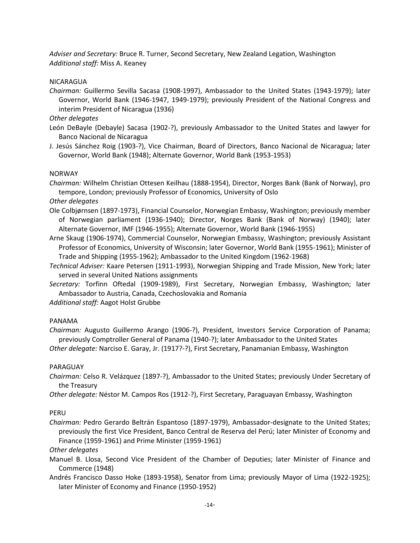*Adviser and Secretary:* Bruce R. Turner, Second Secretary, New Zealand Legation, Washington *Additional staff:* Miss A. Keaney

NICARAGUA

*Chairman:* Guillermo Sevilla Sacasa (1908-1997), Ambassador to the United States (1943-1979); later Governor, World Bank (1946-1947, 1949-1979); previously President of the National Congress and interim President of Nicaragua (1936)

*Other delegates*

- León DeBayle (Debayle) Sacasa (1902-?), previously Ambassador to the United States and lawyer for Banco Nacional de Nicaragua
- J. Jesús Sánchez Roig (1903-?), Vice Chairman, Board of Directors, Banco Nacional de Nicaragua; later Governor, World Bank (1948); Alternate Governor, World Bank (1953-1953)

#### NORWAY

*Chairman:* Wilhelm Christian Ottesen Keilhau (1888-1954), Director, Norges Bank (Bank of Norway), pro tempore, London; previously Professor of Economics, University of Oslo

#### *Other delegates*

- Ole Colbjørnsen (1897-1973), Financial Counselor, Norwegian Embassy, Washington; previously member of Norwegian parliament (1936-1940); Director, Norges Bank (Bank of Norway) (1940); later Alternate Governor, IMF (1946-1955); Alternate Governor, World Bank (1946-1955)
- Arne Skaug (1906-1974), Commercial Counselor, Norwegian Embassy, Washington; previously Assistant Professor of Economics, University of Wisconsin; later Governor, World Bank (1955-1961); Minister of Trade and Shipping (1955-1962); Ambassador to the United Kingdom (1962-1968)
- *Technical Adviser:* Kaare Petersen (1911-1993), Norwegian Shipping and Trade Mission, New York; later served in several United Nations assignments
- *Secretary:* Torfinn Oftedal (1909-1989), First Secretary, Norwegian Embassy, Washington; later Ambassador to Austria, Canada, Czechoslovakia and Romania

*Additional staff:* Aagot Holst Grubbe

# PANAMA

*Chairman:* Augusto Guillermo Arango (1906-?), President, Investors Service Corporation of Panama; previously Comptroller General of Panama (1940-?); later Ambassador to the United States *Other delegate:* Narciso E. Garay, Jr. (1917?-?), First Secretary, Panamanian Embassy, Washington

#### PARAGUAY

- *Chairman:* Celso R. Velázquez (1897-?), Ambassador to the United States; previously Under Secretary of the Treasury
- *Other delegate:* Néstor M. Campos Ros (1912-?), First Secretary, Paraguayan Embassy, Washington

# PERU

*Chairman:* Pedro Gerardo Beltrán Espantoso (1897-1979), Ambassador-designate to the United States; previously the first Vice President, Banco Central de Reserva del Perú; later Minister of Economy and Finance (1959-1961) and Prime Minister (1959-1961)

# *Other delegates*

- Manuel B. Llosa, Second Vice President of the Chamber of Deputies; later Minister of Finance and Commerce (1948)
- Andrés Francisco Dasso Hoke (1893-1958), Senator from Lima; previously Mayor of Lima (1922-1925); later Minister of Economy and Finance (1950-1952)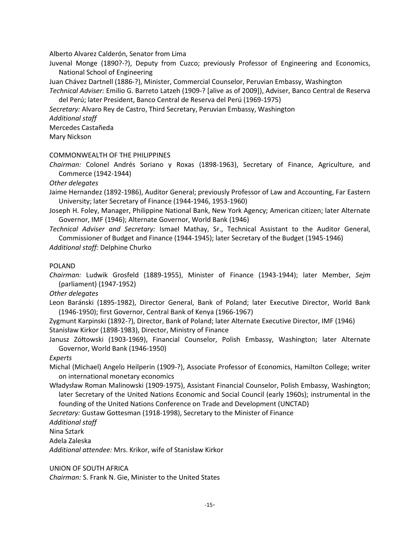Alberto Alvarez Calderón, Senator from Lima

Juvenal Monge (1890?-?), Deputy from Cuzco; previously Professor of Engineering and Economics, National School of Engineering

Juan Chávez Dartnell (1886-?), Minister, Commercial Counselor, Peruvian Embassy, Washington

*Technical Adviser:* Emilio G. Barreto Latzeh (1909-? [alive as of 2009]), Adviser, Banco Central de Reserva del Perú; later President, Banco Central de Reserva del Perú (1969-1975)

*Secretary:* Alvaro Rey de Castro, Third Secretary, Peruvian Embassy, Washington

*Additional staff*

Mercedes Castañeda

Mary Nickson

# COMMONWEALTH OF THE PHILIPPINES

*Chairman:* Colonel Andrés Soriano y Roxas (1898-1963), Secretary of Finance, Agriculture, and Commerce (1942-1944)

*Other delegates*

- Jaime Hernandez (1892-1986), Auditor General; previously Professor of Law and Accounting, Far Eastern University; later Secretary of Finance (1944-1946, 1953-1960)
- Joseph H. Foley, Manager, Philippine National Bank, New York Agency; American citizen; later Alternate Governor, IMF (1946); Alternate Governor, World Bank (1946)
- *Technical Adviser and Secretary:* Ismael Mathay, Sr., Technical Assistant to the Auditor General, Commissioner of Budget and Finance (1944-1945); later Secretary of the Budget (1945-1946)

*Additional staff:* Delphine Churko

# POLAND

*Chairman:* Ludwik Grosfeld (1889-1955), Minister of Finance (1943-1944); later Member, *Sejm*  (parliament) (1947-1952)

*Other delegates*

Leon Baránski (1895-1982), Director General, Bank of Poland; later Executive Director, World Bank (1946-1950); first Governor, Central Bank of Kenya (1966-1967)

Zygmunt Karpinski (1892-?), Director, Bank of Poland; later Alternate Executive Director, IMF (1946) Stanisław Kirkor (1898-1983), Director, Ministry of Finance

Janusz Zółtowski (1903-1969), Financial Counselor, Polish Embassy, Washington; later Alternate Governor, World Bank (1946-1950)

*Experts*

Michal (Michael) Angelo Heilperin (1909-?), Associate Professor of Economics, Hamilton College; writer on international monetary economics

Władysław Roman Malinowski (1909-1975), Assistant Financial Counselor, Polish Embassy, Washington; later Secretary of the United Nations Economic and Social Council (early 1960s); instrumental in the founding of the United Nations Conference on Trade and Development (UNCTAD)

*Secretary:* Gustaw Gottesman (1918-1998), Secretary to the Minister of Finance

*Additional staff*

Nina Sztark

Adela Zaleska

*Additional attendee:* Mrs. Krikor, wife of Stanisław Kirkor

UNION OF SOUTH AFRICA

*Chairman:* S. Frank N. Gie, Minister to the United States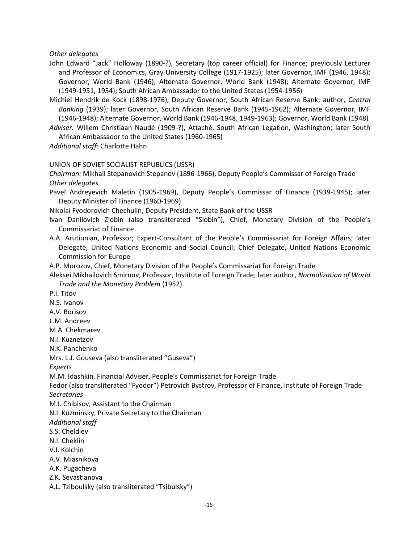*Other delegates*

- John Edward "Jack" Holloway (1890-?), Secretary (top career official) for Finance; previously Lecturer and Professor of Economics, Gray University College (1917-1925); later Governor, IMF (1946, 1948); Governor, World Bank (1946); Alternate Governor, World Bank (1948); Alternate Governor, IMF (1949-1951, 1954); South African Ambassador to the United States (1954-1956)
- Michiel Hendrik de Kock (1898-1976), Deputy Governor, South African Reserve Bank; author, *Central Banking* (1939); later Governor, South African Reserve Bank (1945-1962); Alternate Governor, IMF (1946-1948); Alternate Governor, World Bank (1946-1948, 1949-1963); Governor, World Bank (1948)
- *Adviser:* Willem Christiaan Naudé (1909-?), Attaché, South African Legation, Washington; later South African Ambassador to the United States (1960-1965)

*Additional staff:* Charlotte Hahn

UNION OF SOVIET SOCIALIST REPUBLICS (USSR)

*Chairman:* Mikhail Stepanovich Stepanov (1896-1966), Deputy People's Commissar of Foreign Trade *Other delegates*

Pavel Andreyevich Maletin (1905-1969), Deputy People's Commissar of Finance (1939-1945); later Deputy Minister of Finance (1960-1969)

Nikolai Fyodorovich Chechulin, Deputy President, State Bank of the USSR

- Ivan Danilovich Zlobin (also transliterated "Slobin"), Chief, Monetary Division of the People's Commissariat of Finance
- A.A. Arutiunian, Professor; Expert-Consultant of the People's Commissariat for Foreign Affairs; later Delegate, United Nations Economic and Social Council; Chief Delegate, United Nations Economic Commission for Europe

A.P. Morozov, Chief, Monetary Division of the People's Commissariat for Foreign Trade

Aleksei Mikhailovich Smirnov, Professor, Institute of Foreign Trade; later author, *Normalization of World Trade and the Monetary Problem* (1952)

P.I. Titov

N.S. Ivanov

A.V. Borisov

L.M. Andreev

M.A. Chekmarev

N.I. Kuznetzov

N.K. Panchenko

Mrs. L.J. Gouseva (also transliterated "Guseva")

*Experts*

M.M. Idashkin, Financial Adviser, People's Commissariat for Foreign Trade

Fedor (also transliterated "Fyodor") Petrovich Bystrov, Professor of Finance, Institute of Foreign Trade *Secretaries*

M.I. Chibisov, Assistant to the Chairman

N.I. Kuzminsky, Private Secretary to the Chairman

*Additional staff*

S.S. Cheldiev

N.I. Cheklin

V.I. Kolchin

A.V. Miasnikova

A.K. Pugacheva

Z.K. Sevastianova

A.L. Tziboulsky (also transliterated "Tsibulsky")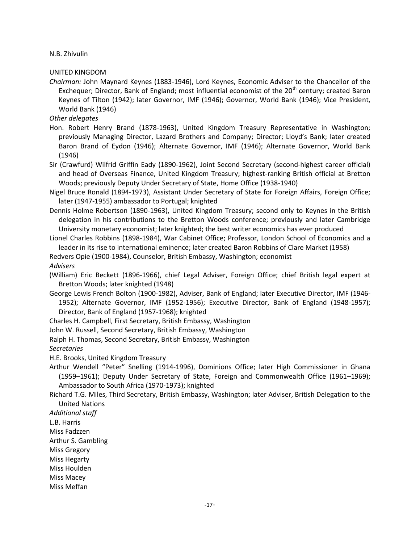N.B. Zhivulin

UNITED KINGDOM

*Chairman:* John Maynard Keynes (1883-1946), Lord Keynes, Economic Adviser to the Chancellor of the Exchequer; Director, Bank of England; most influential economist of the  $20<sup>th</sup>$  century; created Baron Keynes of Tilton (1942); later Governor, IMF (1946); Governor, World Bank (1946); Vice President, World Bank (1946)

*Other delegates*

- Hon. Robert Henry Brand (1878-1963), United Kingdom Treasury Representative in Washington; previously Managing Director, Lazard Brothers and Company; Director; Lloyd's Bank; later created Baron Brand of Eydon (1946); Alternate Governor, IMF (1946); Alternate Governor, World Bank (1946)
- Sir (Crawfurd) Wilfrid Griffin Eady (1890-1962), Joint Second Secretary (second-highest career official) and head of Overseas Finance, United Kingdom Treasury; highest-ranking British official at Bretton Woods; previously Deputy Under Secretary of State, Home Office (1938-1940)
- Nigel Bruce Ronald (1894-1973), Assistant Under Secretary of State for Foreign Affairs, Foreign Office; later (1947-1955) ambassador to Portugal; knighted
- Dennis Holme Robertson (1890-1963), United Kingdom Treasury; second only to Keynes in the British delegation in his contributions to the Bretton Woods conference; previously and later Cambridge University monetary economist; later knighted; the best writer economics has ever produced
- Lionel Charles Robbins (1898-1984), War Cabinet Office; Professor, London School of Economics and a leader in its rise to international eminence; later created Baron Robbins of Clare Market (1958)

Redvers Opie (1900-1984), Counselor, British Embassy, Washington; economist

*Advisers*

- (William) Eric Beckett (1896-1966), chief Legal Adviser, Foreign Office; chief British legal expert at Bretton Woods; later knighted (1948)
- George Lewis French Bolton (1900-1982), Adviser, Bank of England; later Executive Director, IMF (1946- 1952); Alternate Governor, IMF (1952-1956); Executive Director, Bank of England (1948-1957); Director, Bank of England (1957-1968); knighted
- Charles H. Campbell, First Secretary, British Embassy, Washington

John W. Russell, Second Secretary, British Embassy, Washington

Ralph H. Thomas, Second Secretary, British Embassy, Washington

*Secretaries*

H.E. Brooks, United Kingdom Treasury

- Arthur Wendell "Peter" Snelling (1914-1996), Dominions Office; later High Commissioner in Ghana (1959–1961); Deputy Under Secretary of State, Foreign and Commonwealth Office (1961–1969); Ambassador to South Africa (1970-1973); knighted
- Richard T.G. Miles, Third Secretary, British Embassy, Washington; later Adviser, British Delegation to the United Nations

*Additional staff*

L.B. Harris

Miss Fadzzen

Arthur S. Gambling

Miss Gregory

Miss Hegarty

Miss Houlden

Miss Macey

Miss Meffan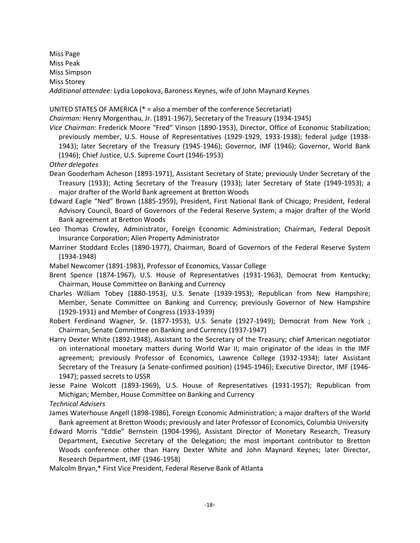Miss Page Miss Peak Miss Simpson Miss Storey *Additional attendee:* Lydia Lopokova, Baroness Keynes, wife of John Maynard Keynes

UNITED STATES OF AMERICA (\* = also a member of the conference Secretariat)

*Chairman:* Henry Morgenthau, Jr. (1891-1967), Secretary of the Treasury (1934-1945)

*Vice Chairman:* Frederick Moore "Fred" Vinson (1890-1953), Director, Office of Economic Stabilization; previously member, U.S. House of Representatives (1929-1929, 1933-1938); federal judge (1938- 1943); later Secretary of the Treasury (1945-1946); Governor, IMF (1946); Governor, World Bank (1946); Chief Justice, U.S. Supreme Court (1946-1953)

*Other delegates*

- Dean Gooderham Acheson (1893-1971), Assistant Secretary of State; previously Under Secretary of the Treasury (1933); Acting Secretary of the Treasury (1933); later Secretary of State (1949-1953); a major drafter of the World Bank agreement at Bretton Woods
- Edward Eagle "Ned" Brown (1885-1959), President, First National Bank of Chicago; President, Federal Advisory Council, Board of Governors of the Federal Reserve System; a major drafter of the World Bank agreement at Bretton Woods
- Leo Thomas Crowley, Administrator, Foreign Economic Administration; Chairman, Federal Deposit Insurance Corporation; Alien Property Administrator
- Marriner Stoddard Eccles (1890-1977), Chairman, Board of Governors of the Federal Reserve System (1934-1948)
- Mabel Newcomer (1891-1983), Professor of Economics, Vassar College
- Brent Spence (1874-1967), U.S. House of Representatives (1931-1963), Democrat from Kentucky; Chairman, House Committee on Banking and Currency
- Charles William Tobey (1880-1953), U.S. Senate (1939-1953); Republican from New Hampshire; Member, Senate Committee on Banking and Currency; previously Governor of New Hampshire (1929-1931) and Member of Congress (1933-1939)
- Robert Ferdinand Wagner, Sr. (1877-1953), U.S. Senate (1927-1949); Democrat from New York ; Chairman, Senate Committee on Banking and Currency (1937-1947)
- Harry Dexter White (1892-1948), Assistant to the Secretary of the Treasury; chief American negotiator on international monetary matters during World War II; main originator of the ideas in the IMF agreement; previously Professor of Economics, Lawrence College (1932-1934); later Assistant Secretary of the Treasury (a Senate-confirmed position) (1945-1946); Executive Director, IMF (1946- 1947); passed secrets to USSR
- Jesse Paine Wolcott (1893-1969), U.S. House of Representatives (1931-1957); Republican from Michigan; Member, House Committee on Banking and Currency

*Technical Advisers*

- James Waterhouse Angell (1898-1986), Foreign Economic Administration; a major drafters of the World Bank agreement at Bretton Woods; previously and later Professor of Economics, Columbia University
- Edward Morris "Eddie" Bernstein (1904-1996), Assistant Director of Monetary Research, Treasury Department, Executive Secretary of the Delegation; the most important contributor to Bretton Woods conference other than Harry Dexter White and John Maynard Keynes; later Director, Research Department, IMF (1946-1958)
- Malcolm Bryan,\* First Vice President, Federal Reserve Bank of Atlanta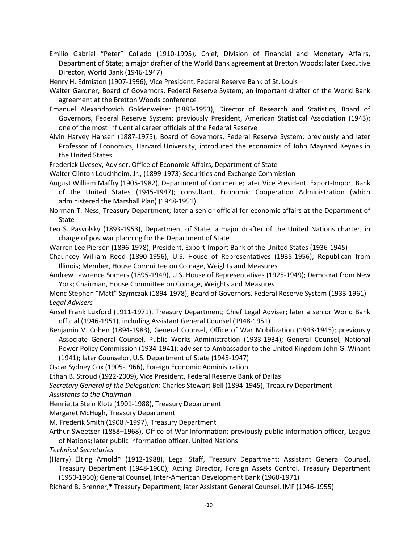Emilio Gabriel "Peter" Collado (1910-1995), Chief, Division of Financial and Monetary Affairs, Department of State; a major drafter of the World Bank agreement at Bretton Woods; later Executive Director, World Bank (1946-1947)

Henry H. Edmiston (1907-1996), Vice President, Federal Reserve Bank of St. Louis

- Walter Gardner, Board of Governors, Federal Reserve System; an important drafter of the World Bank agreement at the Bretton Woods conference
- Emanuel Alexandrovich Goldenweiser (1883-1953), Director of Research and Statistics, Board of Governors, Federal Reserve System; previously President, American Statistical Association (1943); one of the most influential career officials of the Federal Reserve
- Alvin Harvey Hansen (1887-1975), Board of Governors, Federal Reserve System; previously and later Professor of Economics, Harvard University; introduced the economics of John Maynard Keynes in the United States
- Frederick Livesey, Adviser, Office of Economic Affairs, Department of State

Walter Clinton Louchheim, Jr., (1899-1973) Securities and Exchange Commission

- August William Maffry (1905-1982), Department of Commerce; later Vice President, Export-Import Bank of the United States (1945-1947); consultant, Economic Cooperation Administration (which administered the Marshall Plan) (1948-1951)
- Norman T. Ness, Treasury Department; later a senior official for economic affairs at the Department of State
- Leo S. Pasvolsky (1893-1953), Department of State; a major drafter of the United Nations charter; in charge of postwar planning for the Department of State
- Warren Lee Pierson (1896-1978), President, Export-Import Bank of the United States (1936-1945)
- Chauncey William Reed (1890-1956), U.S. House of Representatives (1935-1956); Republican from Illinois; Member, House Committee on Coinage, Weights and Measures
- Andrew Lawrence Somers (1895-1949), U.S. House of Representatives (1925-1949); Democrat from New York; Chairman, House Committee on Coinage, Weights and Measures
- Menc Stephen "Matt" Szymczak (1894-1978), Board of Governors, Federal Reserve System (1933-1961) *Legal Advisers*
- Ansel Frank Luxford (1911-1971), Treasury Department; Chief Legal Adviser; later a senior World Bank official (1946-1951), including Assistant General Counsel (1948-1951)
- Benjamin V. Cohen (1894-1983), General Counsel, Office of War Mobilization (1943-1945); previously Associate General Counsel, Public Works Administration (1933-1934); General Counsel, National Power Policy Commission (1934-1941); adviser to Ambassador to the United Kingdom John G. Winant (1941); later Counselor, U.S. Department of State (1945-1947)
- Oscar Sydney Cox (1905-1966), Foreign Economic Administration
- Ethan B. Stroud (1922-2009), Vice President, Federal Reserve Bank of Dallas

*Secretary General of the Delegation:* Charles Stewart Bell (1894-1945), Treasury Department *Assistants to the Chairman*

Henrietta Stein Klotz (1901-1988), Treasury Department

Margaret McHugh, Treasury Department

- M. Frederik Smith (1908?-1997), Treasury Department
- Arthur Sweetser (1888–1968), Office of War Information; previously public information officer, League of Nations; later public information officer, United Nations

*Technical Secretaries*

- (Harry) Elting Arnold\* (1912-1988), Legal Staff, Treasury Department; Assistant General Counsel, Treasury Department (1948-1960); Acting Director, Foreign Assets Control, Treasury Department (1950-1960); General Counsel, Inter-American Development Bank (1960-1971)
- Richard B. Brenner,\* Treasury Department; later Assistant General Counsel, IMF (1946-1955)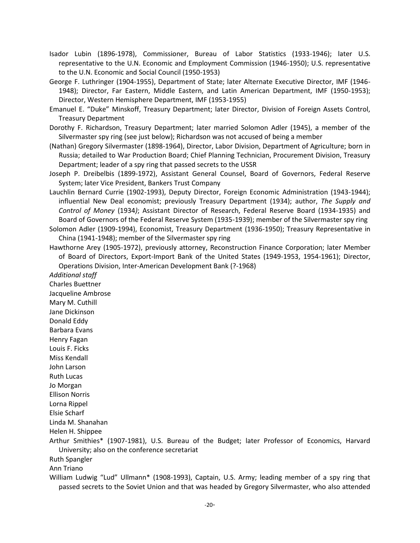- Isador Lubin (1896-1978), Commissioner, Bureau of Labor Statistics (1933-1946); later U.S. representative to the U.N. Economic and Employment Commission (1946-1950); U.S. representative to the U.N. Economic and Social Council (1950-1953)
- George F. Luthringer (1904-1955), Department of State; later Alternate Executive Director, IMF (1946- 1948); Director, Far Eastern, Middle Eastern, and Latin American Department, IMF (1950-1953); Director, Western Hemisphere Department, IMF (1953-1955)
- Emanuel E. "Duke" Minskoff, Treasury Department; later Director, Division of Foreign Assets Control, Treasury Department
- Dorothy F. Richardson, Treasury Department; later married Solomon Adler (1945), a member of the Silvermaster spy ring (see just below); Richardson was not accused of being a member
- (Nathan) Gregory Silvermaster (1898-1964), Director, Labor Division, Department of Agriculture; born in Russia; detailed to War Production Board; Chief Planning Technician, Procurement Division, Treasury Department; leader of a spy ring that passed secrets to the USSR
- Joseph P. Dreibelbis (1899-1972), Assistant General Counsel, Board of Governors, Federal Reserve System; later Vice President, Bankers Trust Company
- Lauchlin Bernard Currie (1902-1993), Deputy Director, Foreign Economic Administration (1943-1944); influential New Deal economist; previously Treasury Department (1934); author, *The Supply and Control of Money* (1934*)*; Assistant Director of Research, Federal Reserve Board (1934-1935) and Board of Governors of the Federal Reserve System (1935-1939); member of the Silvermaster spy ring
- Solomon Adler (1909-1994), Economist, Treasury Department (1936-1950); Treasury Representative in China (1941-1948); member of the Silvermaster spy ring
- Hawthorne Arey (1905-1972), previously attorney, Reconstruction Finance Corporation; later Member of Board of Directors, Export-Import Bank of the United States (1949-1953, 1954-1961); Director, Operations Division, Inter-American Development Bank (?-1968)

*Additional staff* Charles Buettner Jacqueline Ambrose Mary M. Cuthill Jane Dickinson Donald Eddy Barbara Evans Henry Fagan Louis F. Ficks Miss Kendall John Larson Ruth Lucas Jo Morgan Ellison Norris Lorna Rippel Elsie Scharf Linda M. Shanahan Helen H. Shippee

Arthur Smithies\* (1907-1981), U.S. Bureau of the Budget; later Professor of Economics, Harvard University; also on the conference secretariat

- Ruth Spangler
- Ann Triano

William Ludwig "Lud" Ullmann\* (1908-1993), Captain, U.S. Army; leading member of a spy ring that passed secrets to the Soviet Union and that was headed by Gregory Silvermaster, who also attended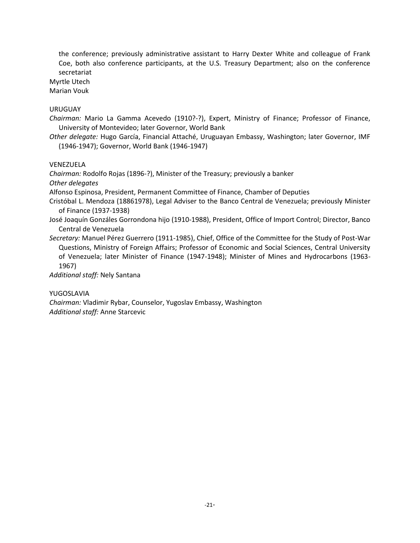the conference; previously administrative assistant to Harry Dexter White and colleague of Frank Coe, both also conference participants, at the U.S. Treasury Department; also on the conference secretariat

Myrtle Utech

Marian Vouk

# URUGUAY

*Chairman:* Mario La Gamma Acevedo (1910?-?), Expert, Ministry of Finance; Professor of Finance, University of Montevideo; later Governor, World Bank

*Other delegate:* Hugo García, Financial Attaché, Uruguayan Embassy, Washington; later Governor, IMF (1946-1947); Governor, World Bank (1946-1947)

#### VENEZUELA

*Chairman:* Rodolfo Rojas (1896-?), Minister of the Treasury; previously a banker

*Other delegates*

Alfonso Espinosa, President, Permanent Committee of Finance, Chamber of Deputies

- Cristóbal L. Mendoza (18861978), Legal Adviser to the Banco Central de Venezuela; previously Minister of Finance (1937-1938)
- José Joaquín Gonzáles Gorrondona hijo (1910-1988), President, Office of Import Control; Director, Banco Central de Venezuela

*Secretary:* Manuel Pérez Guerrero (1911-1985), Chief, Office of the Committee for the Study of Post-War Questions, Ministry of Foreign Affairs; Professor of Economic and Social Sciences, Central University of Venezuela; later Minister of Finance (1947-1948); Minister of Mines and Hydrocarbons (1963- 1967)

*Additional staff:* Nely Santana

# YUGOSLAVIA

*Chairman:* Vladimir Rybar, Counselor, Yugoslav Embassy, Washington *Additional staff:* Anne Starcevic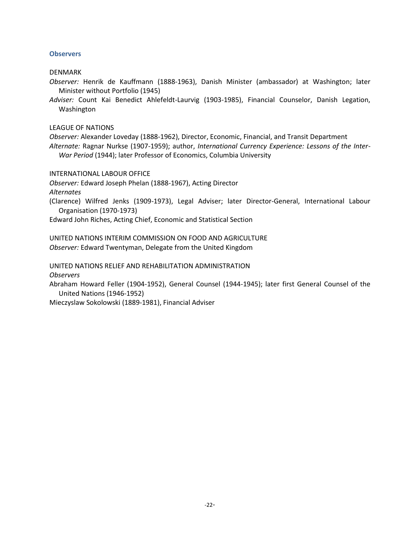## **Observers**

DENMARK

*Observer:* Henrik de Kauffmann (1888-1963), Danish Minister (ambassador) at Washington; later Minister without Portfolio (1945)

*Adviser:* Count Kai Benedict Ahlefeldt-Laurvig (1903-1985), Financial Counselor, Danish Legation, Washington

LEAGUE OF NATIONS

*Observer:* Alexander Loveday (1888-1962), Director, Economic, Financial, and Transit Department *Alternate:* Ragnar Nurkse (1907-1959); author, *International Currency Experience: Lessons of the Inter-War Period* (1944); later Professor of Economics, Columbia University

INTERNATIONAL LABOUR OFFICE

*Observer:* Edward Joseph Phelan (1888-1967), Acting Director *Alternates*

(Clarence) Wilfred Jenks (1909-1973), Legal Adviser; later Director-General, International Labour Organisation (1970-1973)

Edward John Riches, Acting Chief, Economic and Statistical Section

UNITED NATIONS INTERIM COMMISSION ON FOOD AND AGRICULTURE *Observer:* Edward Twentyman, Delegate from the United Kingdom

UNITED NATIONS RELIEF AND REHABILITATION ADMINISTRATION

*Observers*

Abraham Howard Feller (1904-1952), General Counsel (1944-1945); later first General Counsel of the United Nations (1946-1952)

Mieczyslaw Sokolowski (1889-1981), Financial Adviser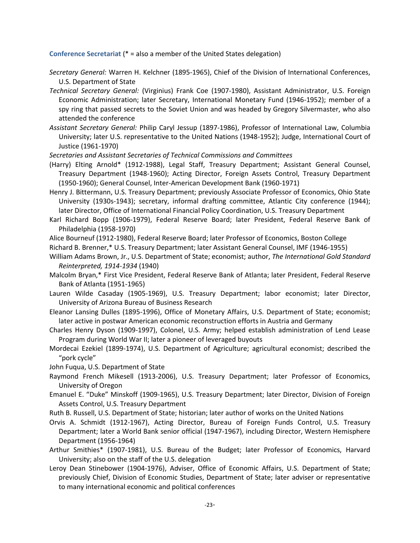**Conference Secretariat** (\* = also a member of the United States delegation)

- *Secretary General:* Warren H. Kelchner (1895-1965), Chief of the Division of International Conferences, U.S. Department of State
- *Technical Secretary General:* (Virginius) Frank Coe (1907-1980), Assistant Administrator, U.S. Foreign Economic Administration; later Secretary, International Monetary Fund (1946-1952); member of a spy ring that passed secrets to the Soviet Union and was headed by Gregory Silvermaster, who also attended the conference
- *Assistant Secretary General:* Philip Caryl Jessup (1897-1986), Professor of International Law, Columbia University; later U.S. representative to the United Nations (1948-1952); Judge, International Court of Justice (1961-1970)
- *Secretaries and Assistant Secretaries of Technical Commissions and Committees*
- (Harry) Elting Arnold\* (1912-1988), Legal Staff, Treasury Department; Assistant General Counsel, Treasury Department (1948-1960); Acting Director, Foreign Assets Control, Treasury Department (1950-1960); General Counsel, Inter-American Development Bank (1960-1971)
- Henry J. Bittermann, U.S. Treasury Department; previously Associate Professor of Economics, Ohio State University (1930s-1943); secretary, informal drafting committee, Atlantic City conference (1944); later Director, Office of International Financial Policy Coordination, U.S. Treasury Department
- Karl Richard Bopp (1906-1979), Federal Reserve Board; later President, Federal Reserve Bank of Philadelphia (1958-1970)
- Alice Bourneuf (1912-1980), Federal Reserve Board; later Professor of Economics, Boston College
- Richard B. Brenner,\* U.S. Treasury Department; later Assistant General Counsel, IMF (1946-1955)
- William Adams Brown, Jr., U.S. Department of State; economist; author, *The International Gold Standard Reinterpreted, 1914-1934* (1940)
- Malcolm Bryan,\* First Vice President, Federal Reserve Bank of Atlanta; later President, Federal Reserve Bank of Atlanta (1951-1965)
- Lauren Wilde Casaday (1905-1969), U.S. Treasury Department; labor economist; later Director, University of Arizona Bureau of Business Research
- Eleanor Lansing Dulles (1895-1996), Office of Monetary Affairs, U.S. Department of State; economist; later active in postwar American economic reconstruction efforts in Austria and Germany
- Charles Henry Dyson (1909-1997), Colonel, U.S. Army; helped establish administration of Lend Lease Program during World War II; later a pioneer of leveraged buyouts
- Mordecai Ezekiel (1899-1974), U.S. Department of Agriculture; agricultural economist; described the "pork cycle"
- John Fuqua, U.S. Department of State
- Raymond French Mikesell (1913-2006), U.S. Treasury Department; later Professor of Economics, University of Oregon
- Emanuel E. "Duke" Minskoff (1909-1965), U.S. Treasury Department; later Director, Division of Foreign Assets Control, U.S. Treasury Department
- Ruth B. Russell, U.S. Department of State; historian; later author of works on the United Nations
- Orvis A. Schmidt (1912-1967), Acting Director, Bureau of Foreign Funds Control, U.S. Treasury Department; later a World Bank senior official (1947-1967), including Director, Western Hemisphere Department (1956-1964)
- Arthur Smithies\* (1907-1981), U.S. Bureau of the Budget; later Professor of Economics, Harvard University; also on the staff of the U.S. delegation
- Leroy Dean Stinebower (1904-1976), Adviser, Office of Economic Affairs, U.S. Department of State; previously Chief, Division of Economic Studies, Department of State; later adviser or representative to many international economic and political conferences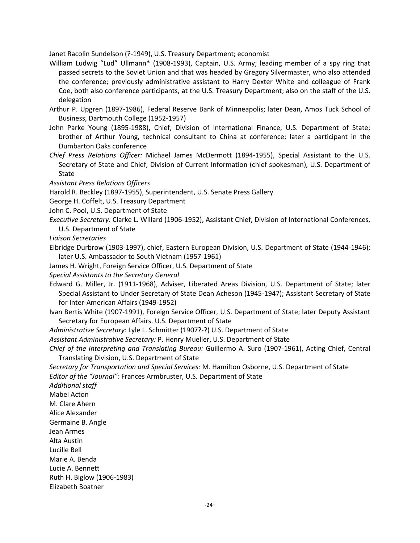Janet Racolin Sundelson (?-1949), U.S. Treasury Department; economist

- William Ludwig "Lud" Ullmann\* (1908-1993), Captain, U.S. Army; leading member of a spy ring that passed secrets to the Soviet Union and that was headed by Gregory Silvermaster, who also attended the conference; previously administrative assistant to Harry Dexter White and colleague of Frank Coe, both also conference participants, at the U.S. Treasury Department; also on the staff of the U.S. delegation
- Arthur P. Upgren (1897-1986), Federal Reserve Bank of Minneapolis; later Dean, Amos Tuck School of Business, Dartmouth College (1952-1957)
- John Parke Young (1895-1988), Chief, Division of International Finance, U.S. Department of State; brother of Arthur Young, technical consultant to China at conference; later a participant in the Dumbarton Oaks conference
- *Chief Press Relations Officer:* Michael James McDermott (1894-1955), Special Assistant to the U.S. Secretary of State and Chief, Division of Current Information (chief spokesman), U.S. Department of State
- *Assistant Press Relations Officers*
- Harold R. Beckley (1897-1955), Superintendent, U.S. Senate Press Gallery
- George H. Coffelt, U.S. Treasury Department
- John C. Pool, U.S. Department of State
- *Executive Secretary:* Clarke L. Willard (1906-1952), Assistant Chief, Division of International Conferences, U.S. Department of State

*Liaison Secretaries*

- Elbridge Durbrow (1903-1997), chief, Eastern European Division, U.S. Department of State (1944-1946); later U.S. Ambassador to South Vietnam (1957-1961)
- James H. Wright, Foreign Service Officer, U.S. Department of State

*Special Assistants to the Secretary General*

- Edward G. Miller, Jr. (1911-1968), Adviser, Liberated Areas Division, U.S. Department of State; later Special Assistant to Under Secretary of State Dean Acheson (1945-1947); Assistant Secretary of State for Inter-American Affairs (1949-1952)
- Ivan Bertis White (1907-1991), Foreign Service Officer, U.S. Department of State; later Deputy Assistant Secretary for European Affairs. U.S. Department of State
- *Administrative Secretary:* Lyle L. Schmitter (1907?-?) U.S. Department of State
- *Assistant Administrative Secretary:* P. Henry Mueller, U.S. Department of State
- *Chief of the Interpreting and Translating Bureau:* Guillermo A. Suro (1907-1961), Acting Chief, Central Translating Division, U.S. Department of State
- *Secretary for Transportation and Special Services:* M. Hamilton Osborne, U.S. Department of State *Editor of the "Journal":* Frances Armbruster, U.S. Department of State

*Additional staff* Mabel Acton M. Clare Ahern Alice Alexander Germaine B. Angle Jean Armes Alta Austin Lucille Bell Marie A. Benda Lucie A. Bennett Ruth H. Biglow (1906-1983) Elizabeth Boatner

-24-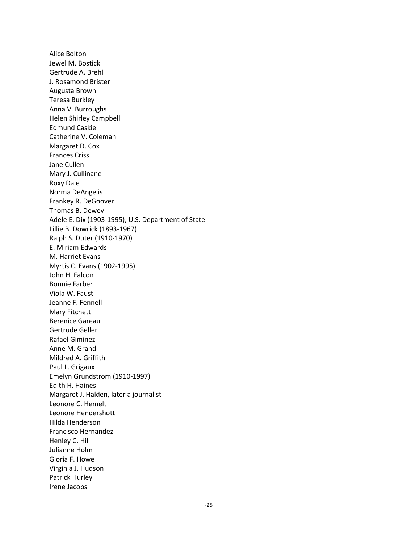Alice Bolton Jewel M. Bostick Gertrude A. Brehl J. Rosamond Brister Augusta Brown Teresa Burkley Anna V. Burroughs Helen Shirley Campbell Edmund Caskie Catherine V. Coleman Margaret D. Cox Frances Criss Jane Cullen Mary J. Cullinane Roxy Dale Norma DeAngelis Frankey R. DeGoover Thomas B. Dewey Adele E. Dix (1903-1995), U.S. Department of State Lillie B. Dowrick (1893-1967) Ralph S. Duter (1910-1970) E. Miriam Edwards M. Harriet Evans Myrtis C. Evans (1902-1995) John H. Falcon Bonnie Farber Viola W. Faust Jeanne F. Fennell Mary Fitchett Berenice Gareau Gertrude Geller Rafael Giminez Anne M. Grand Mildred A. Griffith Paul L. Grigaux Emelyn Grundstrom (1910-1997) Edith H. Haines Margaret J. Halden, later a journalist Leonore C. Hemelt Leonore Hendershott Hilda Henderson Francisco Hernandez Henley C. Hill Julianne Holm Gloria F. Howe Virginia J. Hudson Patrick Hurley Irene Jacobs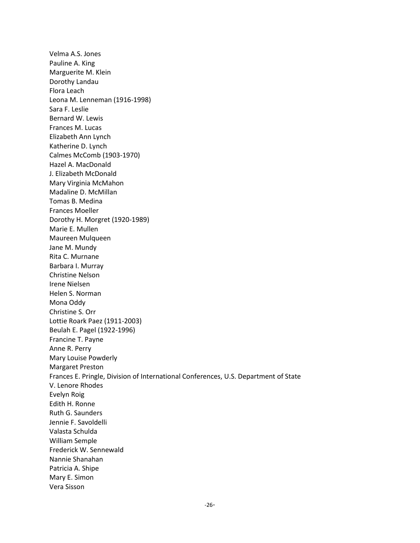Velma A.S. Jones Pauline A. King Marguerite M. Klein Dorothy Landau Flora Leach Leona M. Lenneman (1916-1998) Sara F. Leslie Bernard W. Lewis Frances M. Lucas Elizabeth Ann Lynch Katherine D. Lynch Calmes McComb (1903-1970) Hazel A. MacDonald J. Elizabeth McDonald Mary Virginia McMahon Madaline D. McMillan Tomas B. Medina Frances Moeller Dorothy H. Morgret (1920-1989) Marie E. Mullen Maureen Mulqueen Jane M. Mundy Rita C. Murnane Barbara I. Murray Christine Nelson Irene Nielsen Helen S. Norman Mona Oddy Christine S. Orr Lottie Roark Paez (1911-2003) Beulah E. Pagel (1922-1996) Francine T. Payne Anne R. Perry Mary Louise Powderly Margaret Preston Frances E. Pringle, Division of International Conferences, U.S. Department of State V. Lenore Rhodes Evelyn Roig Edith H. Ronne Ruth G. Saunders Jennie F. Savoldelli Valasta Schulda William Semple Frederick W. Sennewald Nannie Shanahan Patricia A. Shipe Mary E. Simon Vera Sisson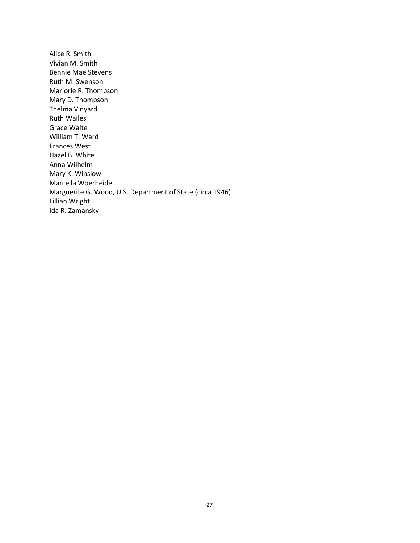Alice R. Smith Vivian M. Smith Bennie Mae Stevens Ruth M. Swenson Marjorie R. Thompson Mary D. Thompson Thelma Vinyard Ruth Wailes Grace Waite William T. Ward Frances West Hazel B. White Anna Wilhelm Mary K. Winslow Marcella Woerheide Marguerite G. Wood, U.S. Department of State (circa 1946) Lillian Wright Ida R. Zamansky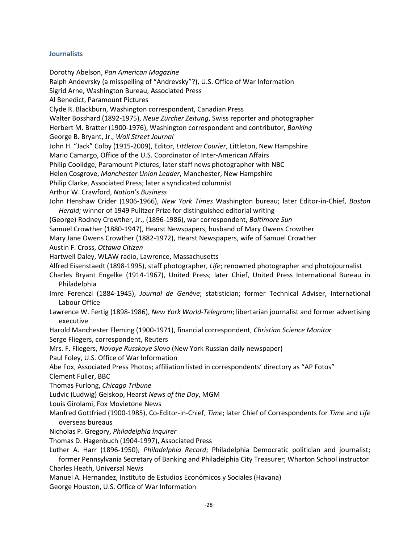#### **Journalists**

Dorothy Abelson, *Pan American Magazine*

Ralph Andevrsky (a misspelling of "Andrevsky"?), U.S. Office of War Information

Sigrid Arne, Washington Bureau, Associated Press

Al Benedict, Paramount Pictures

Clyde R. Blackburn, Washington correspondent, Canadian Press

Walter Bosshard (1892-1975), *Neue Zürcher Zeitung*, Swiss reporter and photographer

Herbert M. Bratter (1900-1976), Washington correspondent and contributor, *Banking*

George B. Bryant, Jr., *Wall Street Journal*

John H. "Jack" Colby (1915-2009), Editor, *Littleton Courier*, Littleton, New Hampshire

Mario Camargo, Office of the U.S. Coordinator of Inter-American Affairs

Philip Coolidge, Paramount Pictures; later staff news photographer with NBC

Helen Cosgrove, *Manchester Union Leader*, Manchester, New Hampshire

Philip Clarke, Associated Press; later a syndicated columnist

Arthur W. Crawford, *Nation's Business*

John Henshaw Crider (1906-1966), *New York Times* Washington bureau; later Editor-in-Chief, *Boston Herald;* winner of 1949 Pulitzer Prize for distinguished editorial writing

(George) Rodney Crowther, Jr., (1896-1986), war correspondent, *Baltimore Sun*

Samuel Crowther (1880-1947), Hearst Newspapers, husband of Mary Owens Crowther

Mary Jane Owens Crowther (1882-1972), Hearst Newspapers, wife of Samuel Crowther

Austin F. Cross, *Ottawa Citizen*

Hartwell Daley, WLAW radio, Lawrence, Massachusetts

Alfred Eisenstaedt (1898-1995), staff photographer, *Life*; renowned photographer and photojournalist

Charles Bryant Engelke (1914-1967), United Press; later Chief, United Press International Bureau in Philadelphia

Imre Ferenczi (1884-1945), *Journal de Genève*; statistician; former Technical Adviser, International Labour Office

Lawrence W. Fertig (1898-1986), *New York World-Telegram*; libertarian journalist and former advertising executive

Harold Manchester Fleming (1900-1971), financial correspondent, *Christian Science Monitor*

Serge Fliegers, correspondent, Reuters

Mrs. F. Fliegers, *Novoye Russkoye Slovo* (New York Russian daily newspaper)

Paul Foley, U.S. Office of War Information

Abe Fox, Associated Press Photos; affiliation listed in correspondents' directory as "AP Fotos" Clement Fuller, BBC

Thomas Furlong, *Chicago Tribune*

Ludvic (Ludwig) Geiskop, Hearst *News of the Day*, MGM

Louis Girolami, Fox Movietone News

- Manfred Gottfried (1900-1985), Co-Editor-in-Chief, *Time*; later Chief of Correspondents for *Time* and *Life* overseas bureaus
- Nicholas P. Gregory, *Philadelphia Inquirer*

Thomas D. Hagenbuch (1904-1997), Associated Press

Luther A. Harr (1896-1950), *Philadelphia Record*; Philadelphia Democratic politician and journalist; former Pennsylvania Secretary of Banking and Philadelphia City Treasurer; Wharton School instructor Charles Heath, Universal News

Manuel A. Hernandez, Instituto de Estudios Económicos y Sociales (Havana)

George Houston, U.S. Office of War Information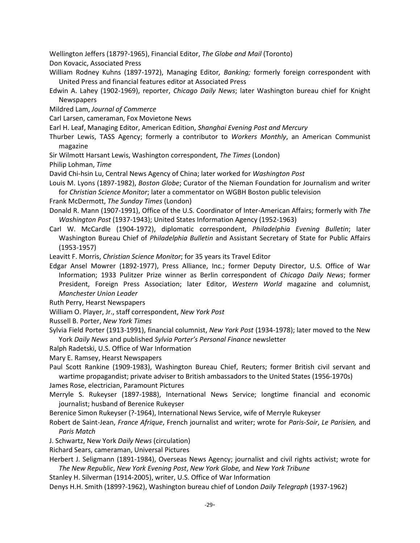Wellington Jeffers (1879?-1965), Financial Editor, *The Globe and Mail* (Toronto)

Don Kovacic, Associated Press

- William Rodney Kuhns (1897-1972), Managing Editor*, Banking;* formerly foreign correspondent with United Press and financial features editor at Associated Press
- Edwin A. Lahey (1902-1969), reporter, *Chicago Daily News*; later Washington bureau chief for Knight Newspapers
- Mildred Lam, *Journal of Commerce*
- Carl Larsen, cameraman, Fox Movietone News
- Earl H. Leaf, Managing Editor, American Edition, *Shanghai Evening Post and Mercury*
- Thurber Lewis, TASS Agency; formerly a contributor to *Workers Monthly*, an American Communist magazine
- Sir Wilmott Harsant Lewis, Washington correspondent, *The Times* (London)
- Philip Lohman, *Time*
- David Chi-hsin Lu, Central News Agency of China; later worked for *Washington Post*
- Louis M. Lyons (1897-1982), *Boston Globe*; Curator of the Nieman Foundation for Journalism and writer for *Christian Science Monitor*; later a commentator on WGBH Boston public television

Frank McDermott, *The Sunday Times* (London)

- Donald R. Mann (1907-1991), Office of the U.S. Coordinator of Inter-American Affairs; formerly with *The Washington Post* (1937-1943); United States Information Agency (1952-1963)
- Carl W. McCardle (1904-1972), diplomatic correspondent, *Philadelphia Evening Bulletin*; later Washington Bureau Chief of *Philadelphia Bulletin* and Assistant Secretary of State for Public Affairs (1953-1957)

Leavitt F. Morris, *Christian Science Monitor*; for 35 years its Travel Editor

- Edgar Ansel Mowrer (1892-1977), Press Alliance, Inc.; former Deputy Director, U.S. Office of War Information; 1933 Pulitzer Prize winner as Berlin correspondent of *Chicago Daily News*; former President, Foreign Press Association; later Editor, *Western World* magazine and columnist, *Manchester Union Leader*
- Ruth Perry, Hearst Newspapers
- William O. Player, Jr., staff correspondent, *New York Post*
- Russell B. Porter, *New York Times*
- Sylvia Field Porter (1913-1991), financial columnist, *New York Post* (1934-1978); later moved to the New York *Daily News* and published *Sylvia Porter's Personal Finance* newsletter
- Ralph Radetski, U.S. Office of War Information
- Mary E. Ramsey, Hearst Newspapers
- Paul Scott Rankine (1909-1983), Washington Bureau Chief, Reuters; former British civil servant and wartime propagandist; private adviser to British ambassadors to the United States (1956-1970s)
- James Rose, electrician, Paramount Pictures
- Merryle S. Rukeyser (1897-1988), International News Service; longtime financial and economic journalist; husband of Berenice Rukeyser
- Berenice Simon Rukeyser (?-1964), International News Service, wife of Merryle Rukeyser
- Robert de Saint-Jean, *France Afrique*, French journalist and writer; wrote for *Paris-Soir*, *Le Parisien,* and *Paris Match*
- J. Schwartz, New York *Daily News* (circulation)

Richard Sears, cameraman, Universal Pictures

- Herbert J. Seligmann (1891-1984), Overseas News Agency; journalist and civil rights activist; wrote for *The New Republic*, *New York Evening Post*, *New York Globe,* and *New York Tribune*
- Stanley H. Silverman (1914-2005), writer, U.S. Office of War Information
- Denys H.H. Smith (1899?-1962), Washington bureau chief of London *Daily Telegraph* (1937-1962)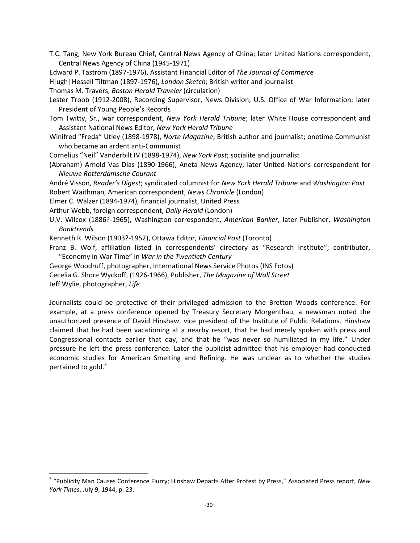- T.C. Tang, New York Bureau Chief, Central News Agency of China; later United Nations correspondent, Central News Agency of China (1945-1971)
- Edward P. Tastrom (1897-1976), Assistant Financial Editor of *The Journal of Commerce*

H[ugh] Hessell Tiltman (1897-1976), *London Sketch*; British writer and journalist

Thomas M. Travers, *Boston Herald Traveler* (circulation)

- Lester Troob (1912-2008), Recording Supervisor, News Division, U.S. Office of War Information; later President of Young People's Records
- Tom Twitty, Sr., war correspondent, *New York Herald Tribune*; later White House correspondent and Assistant National News Editor, *New York Herald Tribune*
- Winifred "Freda" Utley (1898-1978), *Norte Magazine*; British author and journalist; onetime Communist who became an ardent anti-Communist

Cornelius "Neil" Vanderbilt IV (1898-1974), *New York Post*; socialite and journalist

- (Abraham) Arnold Vas Dias (1890-1966), Aneta News Agency; later United Nations correspondent for *Nieuwe Rotterdamsche Courant*
- André Visson, *Reader's Digest*; syndicated columnist for *New York Herald Tribune* and *Washington Post* Robert Waithman, American correspondent, *News Chronicle* (London)
- Elmer C. Walzer (1894-1974), financial journalist, United Press
- Arthur Webb, foreign correspondent, *Daily Herald* (London)
- U.V. Wilcox (1886?-1965), Washington correspondent, *American Banker*, later Publisher, *Washington Banktrends*

Kenneth R. Wilson (1903?-1952), Ottawa Editor, *Financial Post* (Toronto)

Franz B. Wolf, affiliation listed in correspondents' directory as "Research Institute"; contributor, "Economy in War Time" in *War in the Twentieth Century*

- George Woodruff, photographer, International News Service Photos (INS Fotos)
- Cecelia G. Shore Wyckoff, (1926-1966), Publisher, *The Magazine of Wall Street*

Jeff Wylie, photographer, *Life*

l

Journalists could be protective of their privileged admission to the Bretton Woods conference. For example, at a press conference opened by Treasury Secretary Morgenthau, a newsman noted the unauthorized presence of David Hinshaw, vice president of the Institute of Public Relations. Hinshaw claimed that he had been vacationing at a nearby resort, that he had merely spoken with press and Congressional contacts earlier that day, and that he "was never so humiliated in my life." Under pressure he left the press conference. Later the publicist admitted that his employer had conducted economic studies for American Smelting and Refining. He was unclear as to whether the studies pertained to gold. 5

<sup>5</sup> "Publicity Man Causes Conference Flurry; Hinshaw Departs After Protest by Press," Associated Press report, *New York Times*, July 9, 1944, p. 23.